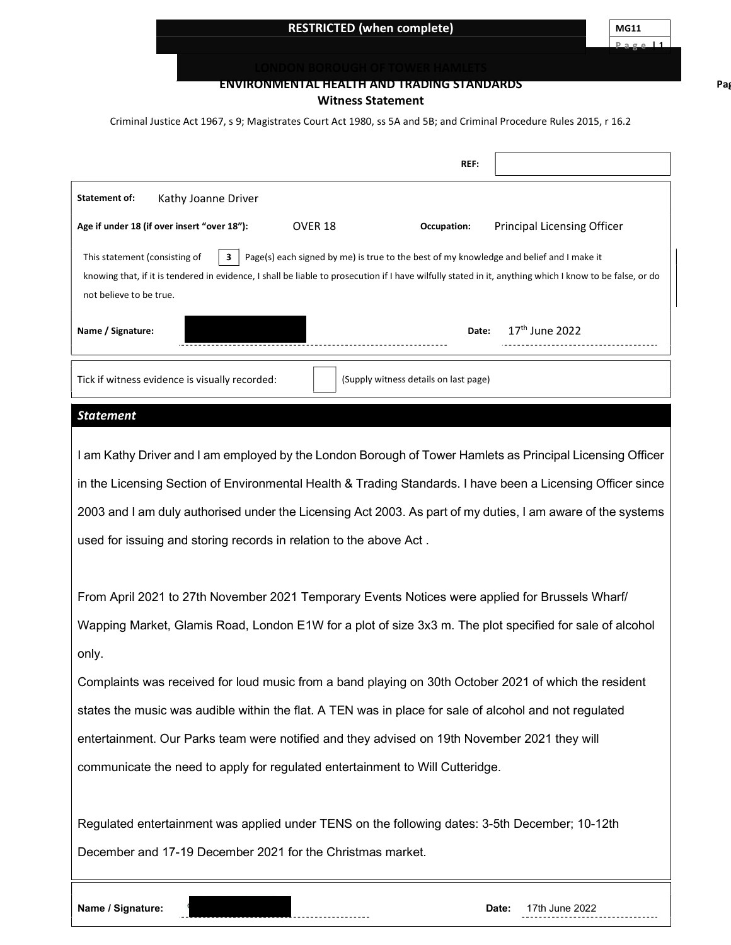# RESTRICTED (when complete) MG11

P a g e 11

Pag

#### ENVIRONMENTAL HEALTH AND TRADING STANDARDS

#### Witness Statement

Criminal Justice Act 1967, s 9; Magistrates Court Act 1980, ss 5A and 5B; and Criminal Procedure Rules 2015, r 16.2

|                                                                                                                                                                                                                                                                                                                     | REF:                                              |
|---------------------------------------------------------------------------------------------------------------------------------------------------------------------------------------------------------------------------------------------------------------------------------------------------------------------|---------------------------------------------------|
| Kathy Joanne Driver<br><b>Statement of:</b>                                                                                                                                                                                                                                                                         |                                                   |
| Age if under 18 (if over insert "over 18"):<br>OVER 18                                                                                                                                                                                                                                                              | <b>Principal Licensing Officer</b><br>Occupation: |
| This statement (consisting of<br>3<br>Page(s) each signed by me) is true to the best of my knowledge and belief and I make it<br>knowing that, if it is tendered in evidence, I shall be liable to prosecution if I have wilfully stated in it, anything which I know to be false, or do<br>not believe to be true. |                                                   |
| Name / Signature:                                                                                                                                                                                                                                                                                                   | 17th June 2022<br>Date:                           |
| Tick if witness evidence is visually recorded:<br>(Supply witness details on last page)                                                                                                                                                                                                                             |                                                   |
| <b>Statement</b>                                                                                                                                                                                                                                                                                                    |                                                   |
| I am Kathy Driver and I am employed by the London Borough of Tower Hamlets as Principal Licensing Officer                                                                                                                                                                                                           |                                                   |
| in the Licensing Section of Environmental Health & Trading Standards. I have been a Licensing Officer since                                                                                                                                                                                                         |                                                   |
| 2003 and I am duly authorised under the Licensing Act 2003. As part of my duties, I am aware of the systems                                                                                                                                                                                                         |                                                   |
| used for issuing and storing records in relation to the above Act.                                                                                                                                                                                                                                                  |                                                   |
|                                                                                                                                                                                                                                                                                                                     |                                                   |
| From April 2021 to 27th November 2021 Temporary Events Notices were applied for Brussels Wharf/                                                                                                                                                                                                                     |                                                   |
| Wapping Market, Glamis Road, London E1W for a plot of size 3x3 m. The plot specified for sale of alcohol                                                                                                                                                                                                            |                                                   |
| only.                                                                                                                                                                                                                                                                                                               |                                                   |
| Complaints was received for loud music from a band playing on 30th October 2021 of which the resident                                                                                                                                                                                                               |                                                   |
| states the music was audible within the flat. A TEN was in place for sale of alcohol and not regulated                                                                                                                                                                                                              |                                                   |
| entertainment. Our Parks team were notified and they advised on 19th November 2021 they will                                                                                                                                                                                                                        |                                                   |
| communicate the need to apply for regulated entertainment to Will Cutteridge.                                                                                                                                                                                                                                       |                                                   |
|                                                                                                                                                                                                                                                                                                                     |                                                   |
| Regulated entertainment was applied under TENS on the following dates: 3-5th December; 10-12th                                                                                                                                                                                                                      |                                                   |
| December and 17-19 December 2021 for the Christmas market.                                                                                                                                                                                                                                                          |                                                   |
|                                                                                                                                                                                                                                                                                                                     |                                                   |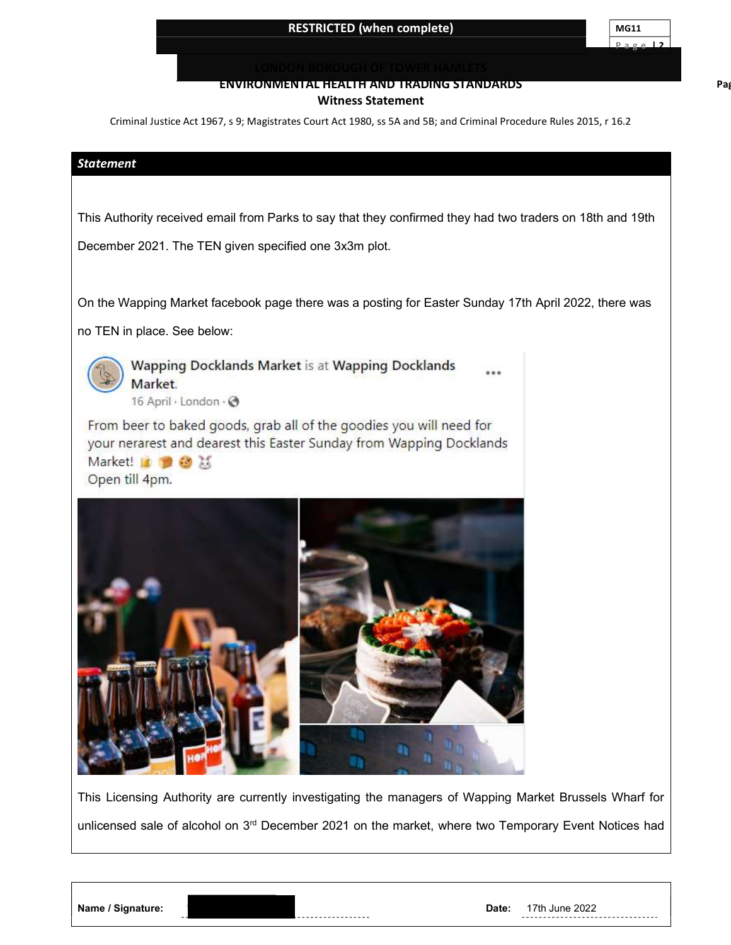Pag

#### ENVIRONMENTAL HEALTH AND TRADING STANDARDS Witness Statement

Criminal Justice Act 1967, s 9; Magistrates Court Act 1980, ss 5A and 5B; and Criminal Procedure Rules 2015, r 16.2

#### Statement

This Authority received email from Parks to say that they confirmed they had two traders on 18th and 19th

December 2021. The TEN given specified one 3x3m plot.

On the Wapping Market facebook page there was a posting for Easter Sunday 17th April 2022, there was

no TEN in place. See below:



Wapping Docklands Market is at Wapping Docklands Market. 16 April · London · →

From beer to baked goods, grab all of the goodies you will need for your nerarest and dearest this Easter Sunday from Wapping Docklands Market! I ● ● X





This Licensing Authority are currently investigating the managers of Wapping Market Brussels Wharf for unlicensed sale of alcohol on 3<sup>rd</sup> December 2021 on the market, where two Temporary Event Notices had